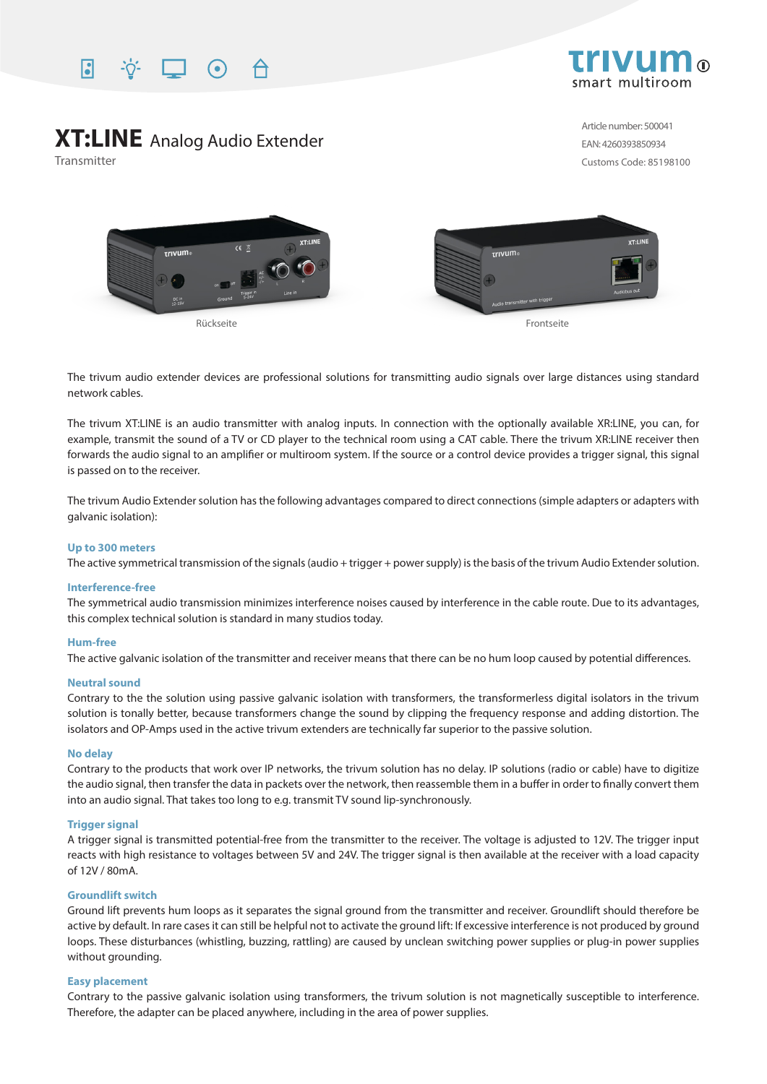



# **XT:LINE** Analog Audio Extender

Transmitter

Article number: 500041 EAN: 4260393850934 Customs Code: 85198100



The trivum audio extender devices are professional solutions for transmitting audio signals over large distances using standard network cables.

The trivum XT:LINE is an audio transmitter with analog inputs. In connection with the optionally available XR:LINE, you can, for example, transmit the sound of a TV or CD player to the technical room using a CAT cable. There the trivum XR:LINE receiver then forwards the audio signal to an amplifier or multiroom system. If the source or a control device provides a trigger signal, this signal is passed on to the receiver.

The trivum Audio Extender solution has the following advantages compared to direct connections (simple adapters or adapters with galvanic isolation):

#### **Up to 300 meters**

The active symmetrical transmission of the signals (audio + trigger + power supply) is the basis of the trivum Audio Extender solution.

#### **Interference-free**

The symmetrical audio transmission minimizes interference noises caused by interference in the cable route. Due to its advantages, this complex technical solution is standard in many studios today.

#### **Hum-free**

The active galvanic isolation of the transmitter and receiver means that there can be no hum loop caused by potential differences.

#### **Neutral sound**

Contrary to the the solution using passive galvanic isolation with transformers, the transformerless digital isolators in the trivum solution is tonally better, because transformers change the sound by clipping the frequency response and adding distortion. The isolators and OP-Amps used in the active trivum extenders are technically far superior to the passive solution.

#### **No delay**

Contrary to the products that work over IP networks, the trivum solution has no delay. IP solutions (radio or cable) have to digitize the audio signal, then transfer the data in packets over the network, then reassemble them in a buffer in order to finally convert them into an audio signal. That takes too long to e.g. transmit TV sound lip-synchronously.

### **Trigger signal**

A trigger signal is transmitted potential-free from the transmitter to the receiver. The voltage is adjusted to 12V. The trigger input reacts with high resistance to voltages between 5V and 24V. The trigger signal is then available at the receiver with a load capacity of 12V / 80mA.

#### **Groundlift switch**

Ground lift prevents hum loops as it separates the signal ground from the transmitter and receiver. Groundlift should therefore be active by default. In rare cases it can still be helpful not to activate the ground lift: If excessive interference is not produced by ground loops. These disturbances (whistling, buzzing, rattling) are caused by unclean switching power supplies or plug-in power supplies without grounding.

#### **Easy placement**

Contrary to the passive galvanic isolation using transformers, the trivum solution is not magnetically susceptible to interference. Therefore, the adapter can be placed anywhere, including in the area of power supplies.